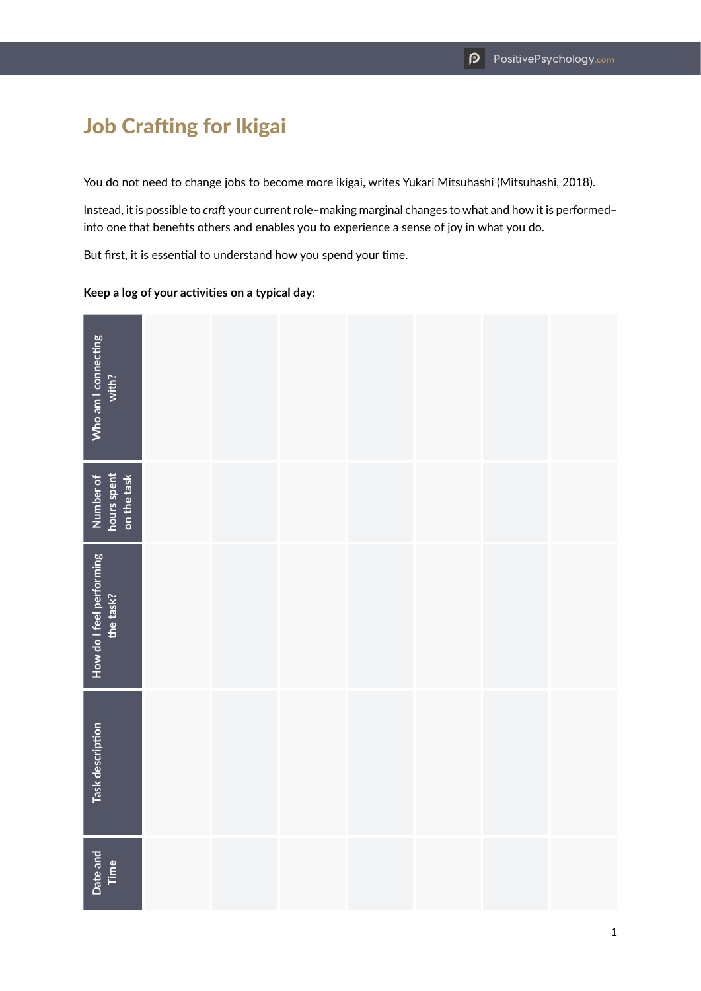## Job Crafting for Ikigai

You do not need to change jobs to become more ikigai, writes Yukari Mitsuhashi (Mitsuhashi, 2018).

Instead, it is possible to *craft* your current role–making marginal changes to what and how it is performed– into one that benefits others and enables you to experience a sense of joy in what you do.

But first, it is essential to understand how you spend your time.

## **Keep a log of your activities on a typical day:**